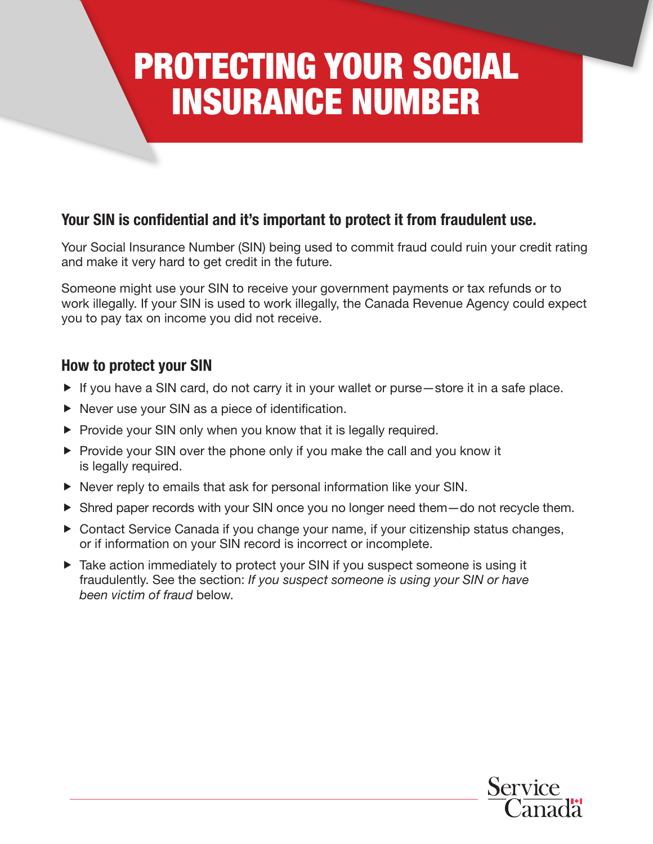# PROTECTING YOUR SOCIAL INSURANCE NUMBER

# Your SIN is confidential and it's important to protect it from fraudulent use.

Your Social Insurance Number (SIN) being used to commit fraud could ruin your credit rating and make it very hard to get credit in the future.

Someone might use your SIN to receive your government payments or tax refunds or to work illegally. If your SIN is used to work illegally, the Canada Revenue Agency could expect you to pay tax on income you did not receive.

# How to protect your SIN

- $\blacktriangleright$  If you have a SIN card, do not carry it in your wallet or purse—store it in a safe place.
- $\blacktriangleright$  Never use your SIN as a piece of identification.
- $\triangleright$  Provide your SIN only when you know that it is legally required.
- $\triangleright$  Provide your SIN over the phone only if you make the call and you know it is legally required.
- $\blacktriangleright$  Never reply to emails that ask for personal information like your SIN.
- $\triangleright$  Shred paper records with your SIN once you no longer need them—do not recycle them.
- **F** Contact Service Canada if you change your name, if your citizenship status changes, or if information on your SIN record is incorrect or incomplete.
- $\triangleright$  Take action immediately to protect your SIN if you suspect someone is using it fraudulently. See the section: *If you suspect someone is using your SIN or have been victim of fraud* below.

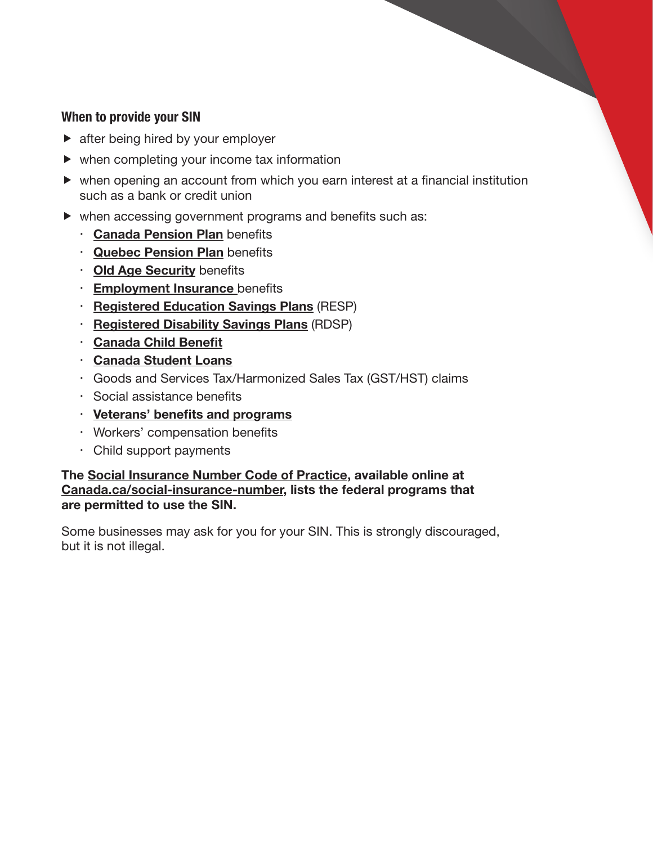### When to provide your SIN

- $\blacktriangleright$  after being hired by your employer
- $\blacktriangleright$  when completing your income tax information
- $\blacktriangleright$  when opening an account from which you earn interest at a financial institution such as a bank or credit union
- $\triangleright$  when accessing government programs and benefits such as:
	- [Canada Pension Plan](https://www.canada.ca/en/services/benefits/publicpensions/cpp.html) benefits
	- [Quebec Pension Plan](https://www.rrq.gouv.qc.ca/en/retraite/rrq/Pages/calcul_rente.aspx) benefits
	- [Old Age Security](https://www.canada.ca/en/services/benefits/publicpensions/cpp/old-age-security.html) benefits
	- **[Employment Insurance](https://www.canada.ca/en/services/benefits/ei.html) benefits**
	- **[Registered Education Savings Plans](https://www.canada.ca/en/revenue-agency/services/tax/individuals/topics/registered-education-savings-plans-resps.html) (RESP)**
	- **[Registered Disability Savings Plans](https://www.canada.ca/en/revenue-agency/services/tax/individuals/topics/registered-disability-savings-plan-rdsp.html) (RDSP)**
	- [Canada Child Benefit](https://www.canada.ca/en/revenue-agency/services/child-family-benefits/canada-child-benefit-overview.html)
	- [Canada Student Loans](https://www.canada.ca/en/services/benefits/education/student-aid/grants-loans.html)
	- Goods and Services Tax/Harmonized Sales Tax (GST/HST) claims
	- Social assistance benefits
	- $\cdot$  [Veterans' benefits and programs](https://www.veterans.gc.ca/eng/resources/enhanced-services)
	- Workers' compensation benefits
	- Child support payments

The [Social Insurance Number Code of Practice,](https://www.canada.ca/en/employment-social-development/services/sin/reports/code-of-practice/annex-2.html) available online at [Canada.ca/social-insurance-number,](https://www.canada.ca/en/employment-social-development/services/sin.html?utm_campaign=not-applicable&utm_medium=vanity-url&utm_source=canada-ca_social-insurance-number) lists the federal programs that are permitted to use the SIN.

Some businesses may ask for you for your SIN. This is strongly discouraged, but it is not illegal.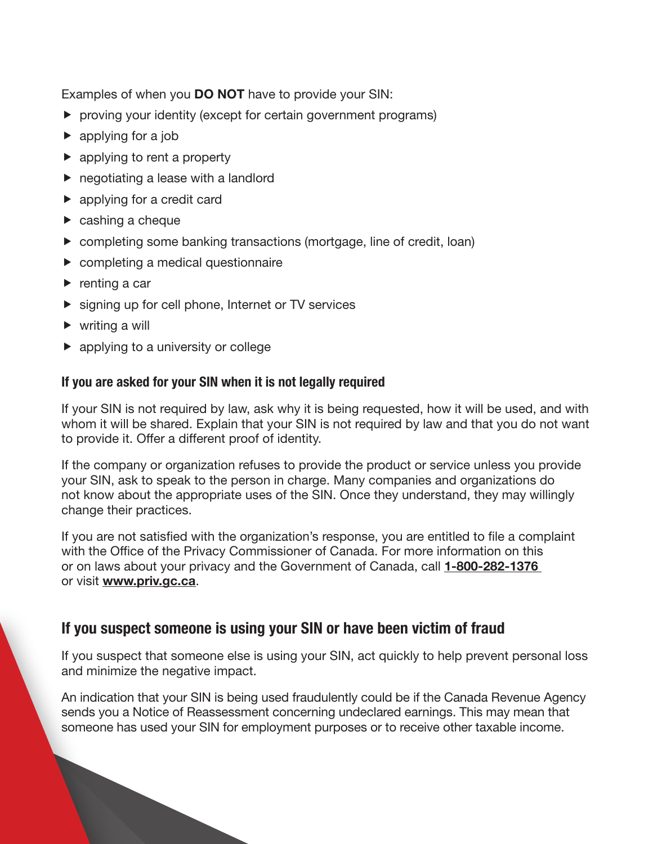Examples of when you **DO NOT** have to provide your SIN:

- $\triangleright$  proving your identity (except for certain government programs)
- $\blacktriangleright$  applying for a job
- $\blacktriangleright$  applying to rent a property
- $\blacktriangleright$  negotiating a lease with a landlord
- $\blacktriangleright$  applying for a credit card
- $\triangleright$  cashing a cheque
- $\triangleright$  completing some banking transactions (mortgage, line of credit, loan)
- $\blacktriangleright$  completing a medical questionnaire
- $\blacktriangleright$  renting a car
- $\triangleright$  signing up for cell phone, Internet or TV services
- $\triangleright$  writing a will
- $\blacktriangleright$  applying to a university or college

# If you are asked for your SIN when it is not legally required

If your SIN is not required by law, ask why it is being requested, how it will be used, and with whom it will be shared. Explain that your SIN is not required by law and that you do not want to provide it. Offer a different proof of identity.

If the company or organization refuses to provide the product or service unless you provide your SIN, ask to speak to the person in charge. Many companies and organizations do not know about the appropriate uses of the SIN. Once they understand, they may willingly change their practices.

If you are not satisfied with the organization's response, you are entitled to file a complaint with the Office of the Privacy Commissioner of Canada. For more information on this or on laws about your privacy and the Government of Canada, call [1-800-282-1376](tel:+18002821376 )  or visit <www.priv.gc.ca>.

# If you suspect someone is using your SIN or have been victim of fraud

If you suspect that someone else is using your SIN, act quickly to help prevent personal loss and minimize the negative impact.

An indication that your SIN is being used fraudulently could be if the Canada Revenue Agency sends you a Notice of Reassessment concerning undeclared earnings. This may mean that someone has used your SIN for employment purposes or to receive other taxable income.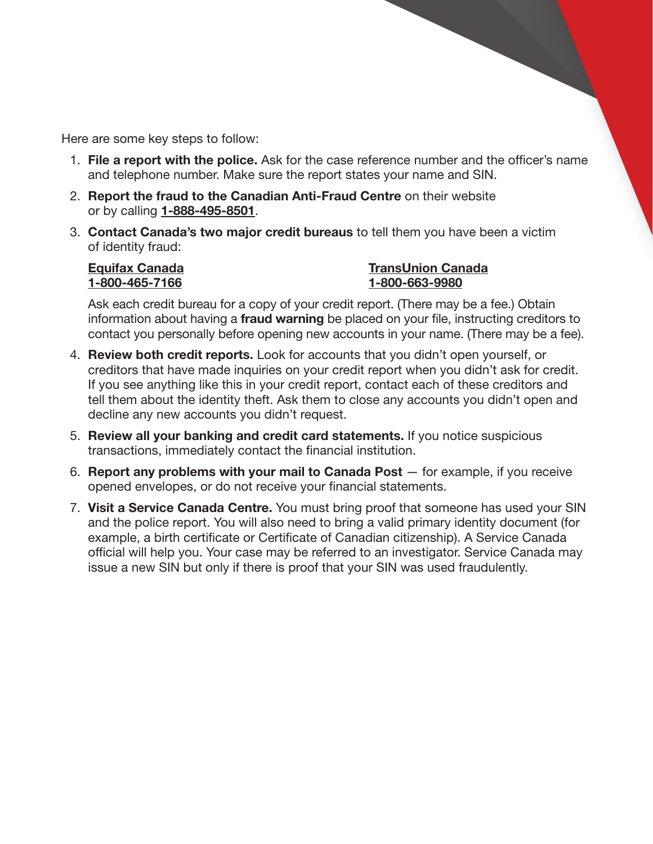Here are some key steps to follow:

- 1. File a report with the police. Ask for the case reference number and the officer's name and telephone number. Make sure the report states your name and SIN.
- 2. Report the fraud to the Canadian Anti-Fraud Centre on their website or by calling [1-888-495-8501](tel:+18884958501).
- 3. Contact Canada's two major credit bureaus to tell them you have been a victim of identity fraud:

[Equifax Canada](http://www.consumer.equifax.ca/home/en_ca) [TransUnion Canada](http://www.transunion.ca) 1-800-465-7166 [1-](tel:+18775253823)800-663-9980

Ask each credit bureau for a copy of your credit report. (There may be a fee.) Obtain information about having a **fraud warning** be placed on your file, instructing creditors to contact you personally before opening new accounts in your name. (There may be a fee).

- 4. **Review both credit reports.** Look for accounts that you didn't open yourself, or creditors that have made inquiries on your credit report when you didn't ask for credit. If you see anything like this in your credit report, contact each of these creditors and tell them about the identity theft. Ask them to close any accounts you didn't open and decline any new accounts you didn't request.
- 5. Review all your banking and credit card statements. If you notice suspicious transactions, immediately contact the financial institution.
- 6. Report any problems with your mail to Canada Post for example, if you receive opened envelopes, or do not receive your financial statements.
- 7. Visit a Service Canada Centre. You must bring proof that someone has used your SIN and the police report. You will also need to bring a valid primary identity document (for example, a birth certificate or Certificate of Canadian citizenship). A Service Canada official will help you. Your case may be referred to an investigator. Service Canada may issue a new SIN but only if there is proof that your SIN was used fraudulently.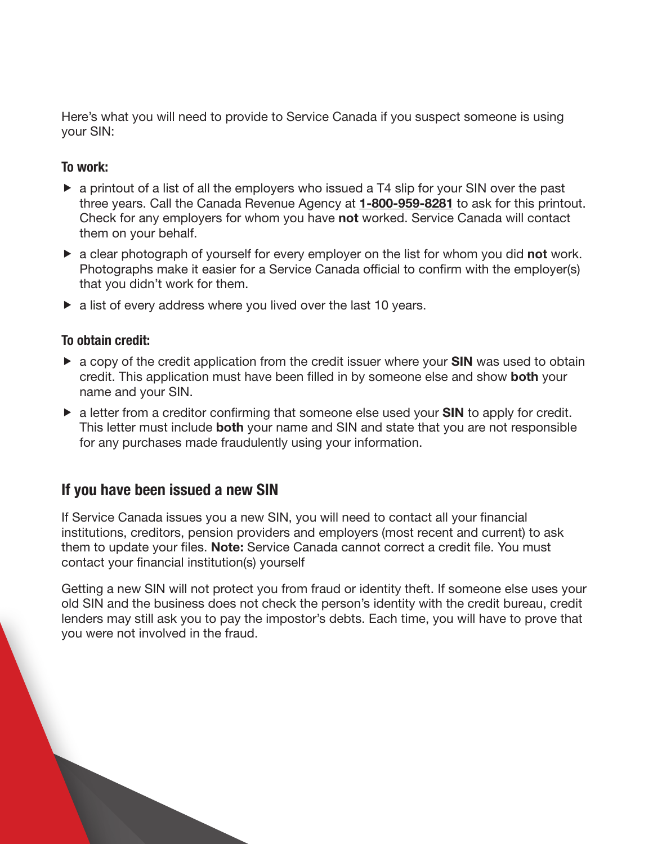Here's what you will need to provide to Service Canada if you suspect someone is using your SIN:

#### To work:

- $\triangleright$  a printout of a list of all the employers who issued a T4 slip for your SIN over the past three years. Call the Canada Revenue Agency at [1-800-959-8281](tel:+18009598281) to ask for this printout. Check for any employers for whom you have not worked. Service Canada will contact them on your behalf.
- $\triangleright$  a clear photograph of yourself for every employer on the list for whom you did not work. Photographs make it easier for a Service Canada official to confirm with the employer(s) that you didn't work for them.
- $\triangleright$  a list of every address where you lived over the last 10 years.

#### To obtain credit:

- $\triangleright$  a copy of the credit application from the credit issuer where your **SIN** was used to obtain credit. This application must have been filled in by someone else and show both your name and your SIN.
- $\triangleright$  a letter from a creditor confirming that someone else used your **SIN** to apply for credit. This letter must include **both** your name and SIN and state that you are not responsible for any purchases made fraudulently using your information.

# If you have been issued a new SIN

If Service Canada issues you a new SIN, you will need to contact all your financial institutions, creditors, pension providers and employers (most recent and current) to ask them to update your files. Note: Service Canada cannot correct a credit file. You must contact your financial institution(s) yourself

Getting a new SIN will not protect you from fraud or identity theft. If someone else uses your old SIN and the business does not check the person's identity with the credit bureau, credit lenders may still ask you to pay the impostor's debts. Each time, you will have to prove that you were not involved in the fraud.